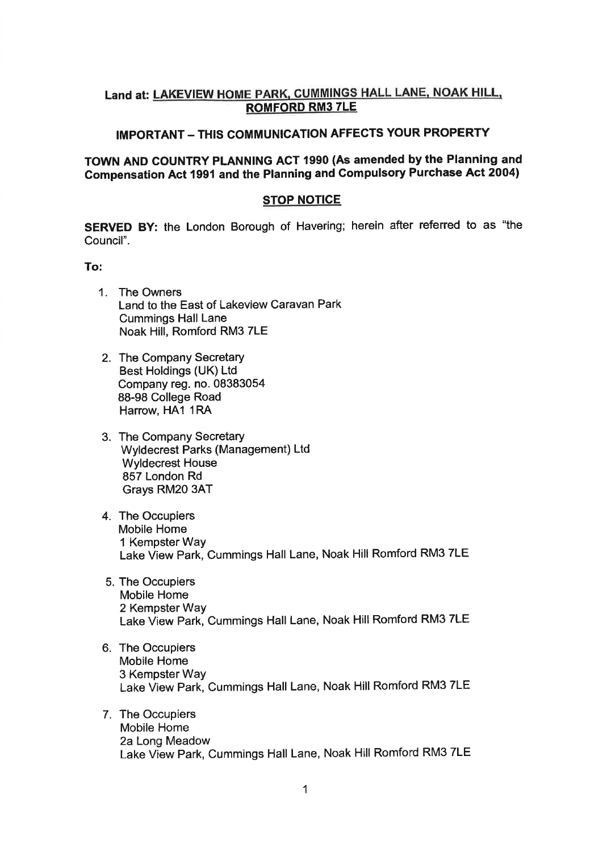## **Land at: LAKEVIEW HOME PARK, CUMMINGS HALL LANE, NOAK HILL, ROMFORD RM3 7LE**

# **IMPORTANT** -**THIS COMMUNICATION AFFECTS YOUR PROPERTY**

# **TOWN AND COUNTRY PLANNING ACT 1990 (As amended by the Planning and CompensationAct 1991 and the Planning and Compulsory Purchase Act 2004)**

## **STOP NOTICE**

**SERVED BY:** the London Borough of Havering; herein after referred to as "the Council".

## **To:**

- 1. The Owners Land to the East of Lakeview Caravan Park Cummings Hall Lane Noak Hill, Romford RM3 7LE
- 2. The Company Secretary Best Holdings (UK) Ltd Company reg. no. 08383054 88-98 College Road Harrow, **HA1** 1RA
- 3. The Company Secretary Wyldecrest Parks (Management) Ltd Wyldecrest House 857 London Rd Grays RM20 3AT
- 4. The Occupiers Mobile Home 1 Kempster Way Lake View Park, Cummings Hall Lane, Noak Hill Romford RM3 7LE
- 5. The Occupiers Mobile Home 2 Kempster Way Lake View Park, Cummings Hall Lane, Noak Hill Romford RM3 7LE
- 6. The Occupiers Mobile Home 3 Kempster Way Lake View Park, Cummings Hall Lane, Noak Hill Romford RM3 7LE
- 7. The Occupiers Mobile Home 2a Long Meadow Lake View Park, Cummings Hall Lane, Noak Hill Romford RM3 7LE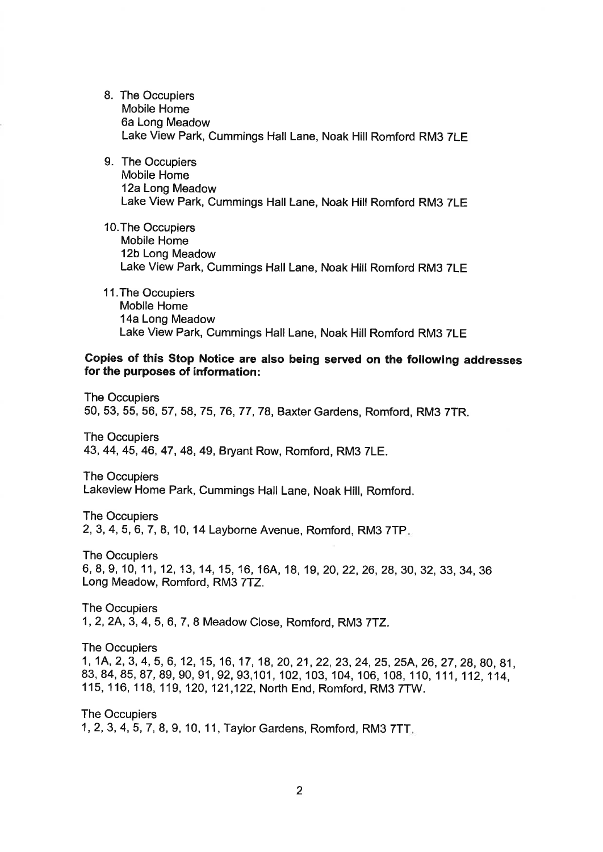- 8. The Occupiers Mobile Home 6a Long Meadow Lake View Park, Cummings Hall Lane, Noak Hill Romford RM3 7LE
- 9. The Occupiers Mobile Home 12a Long Meadow Lake View Park, Cummings Hall Lane, Noak Hill Romford RM3 7LE
- 10.The Occupiers Mobile Home 12b Long Meadow Lake View Park, Cummings Hall Lane, Noak Hill Romford RM3 7LE
- 11.The Occupiers Mobile Home 14a Long Meadow Lake View Park, Cummings Hall Lane, Noak Hill Romford RM3 7LE

### **Copies of this Stop Notice are also being served on the following addresses for the purposes of information:**

The Occupiers 50, 53, 55, 56, 57, 58, 75,76, 77, 78, Baxter Gardens, Romford, RM3 7TR.

The Occupiers 43, 44, 45,46, 47, 48,49, Bryant Row, Romford, RM3 7LE.

The Occupiers Lakeview Home Park, Cummings Hall Lane, Noak Hill, Romford.

The Occupiers 2, 3,4, 5,6, 7, 8, 10, 14 Layborne Avenue, Romford, RM3 7TP.

The Occupiers 6,8,9, 10, 11, 12, 13, 14, 15, 16, 16A, 18, 19,20,22,26,28,30,32,33,34,36 Long Meadow, Romford, RM3 7TZ.

The Occupiers 1, 2, 2A, 3,4, 5, 6, 7, 8 Meadow Close, Romford, RM3 7TZ,

The Occupiers

1, 1A, 2, 3, 4, 5, 6, 12, 15, 16, 17, 18, 20, 21, 22, 23, 24, 25, 25A, 26, 27, 28, 80, 81, 83, 84, 85, 87, 89, 90, 91, 92, 93,101, 102, 103, 104, 106, 108, 110, 111, 112, 114, 115, 116, 118, 119, 120, 121,122, North End, Romford, RM3 7TW.

The Occupiers 1, 2, 3, 4, 5, 7, 8,9, 10, ll,Taylor Gardens, Romford, RM3 7TT.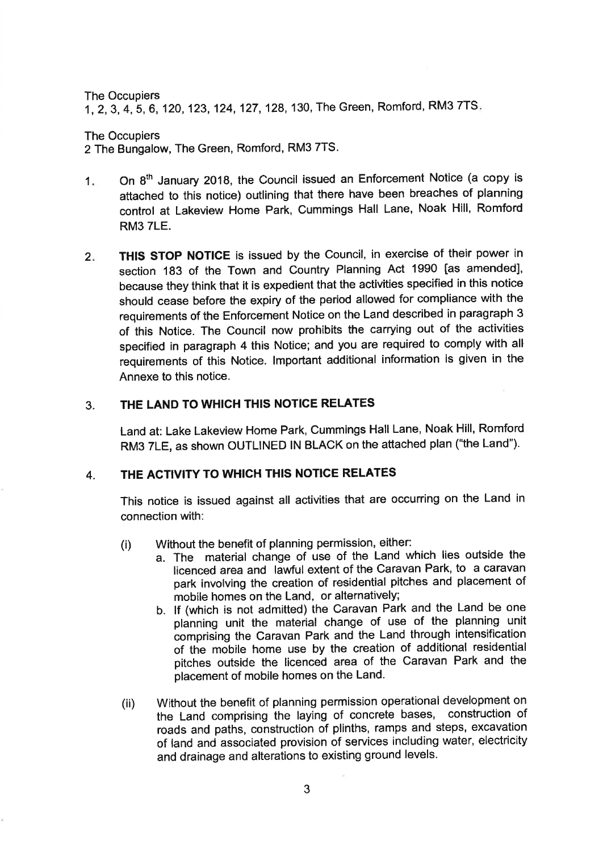The Occupiers 1, 2, 3,4, **5,** 6, 120, 123, 124, 127, 128, 130, The Green, Romford, RM3 7TS.

## The Occupiers

2 The Bungalow, The Green, Romford, RM3 7TS.

- 1. On 8<sup>th</sup> January 2018, the Council issued an Enforcement Notice (a copy is attached to this notice) outlining that there have been breaches of planning control at Lakeview Home Park, Cummings Hall Lane, Noak Hill, Romford RM3 7LE.
- 2. **THlS STOP NOTICE** is issued by the Council, in exercise of their power in section 183 of the Town and Country Planning Act 1990 [as amended], because they think that it is expedient that the activities specified in this notice should cease before the expiry of the period allowed for compliance with the requirements of the Enforcement Notice on the Land described in paragraph 3 of this Notice. The Council now prohibits the carrying out of the activities specified in paragraph **4** this Notice; and you are required to comply with all requirements of this Notice. Important additional information is given in the Annexe to this notice.

## 3. **THE LAND TO WHICH THlS NOTICE RELATES**

Land at: Lake Lakeview Home Park, Cummings Hall Lane, Noak Hill, Rornford RM3 7LE, as shown OUTLINED IN BLACK on the attached plan ("the Land").

## **4. THE ACTIVITY TO WHICH THlS NOTICE RELATES**

This notice is issued against all activities that are occurring on the Land in connection with:

- (i) Without the benefit of planning permission, either:
	- a. The material change of use of the Land which lies outside the licenced area and lawful extent of the Caravan Park, to a caravan park involving the creation of residential pitches and placement of mobile homes on the Land, or alternatively;
	- b. If (which is not admitted) the Caravan Park and the Land be one planning unit the material change of use of the planning unit comprising the Caravan Park and the Land through intensification of the mobile home use by the creation of additional residential pitches outside the licenced area of the Caravan Park and the placement of mobile homes on the Land.
- (ii) Without the benefit of planning permission operational development on the Land comprising the laying of concrete bases, construction of roads and paths, construction of plinths, ramps and steps, excavation of land and associated provision of services including water, electricity and drainage and alterations to existing ground levels.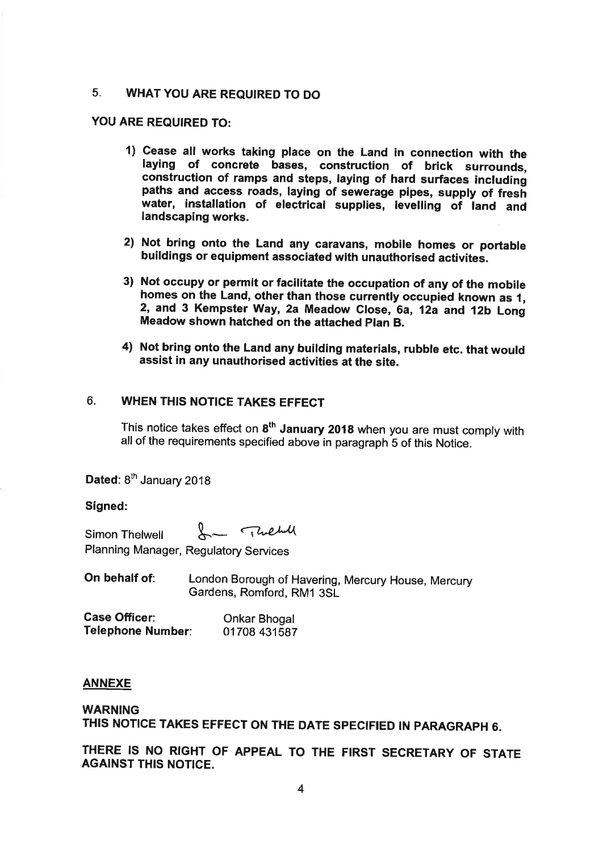## **5.** WHAT YOU ARE REQUIRED TO DO

## YOU ARE REQUIRED TO:

- 1) Cease all works taking place on the Land in connection with the laying of concrete bases, construction of brick surrounds, construction of ramps and steps, laying of hard surfaces including paths and access roads, laying of sewerage pipes, supply of fresh water, installation of electrical supplies, levelling of land and landscaping works.
- 2) Not bring onto the Land any caravans, mobile homes or portable buildings or equipment associated with unauthorised activites.
- 3) Not occupy or permit or facilitate the occupation of any of the mobile homes on the Land, other than those currently occupied known as 1, 2, and 3 Kempster Way, 2a Meadow Close, 6a, 12a and 12b Long Meadow shown hatched on the attached Plan B.
- 4) Not bring onto the Land any building materials, rubble etc. that would assist in any unauthorised activities at the site.

# **6.** WHEN THlS NOTICE TAKES EFFECT

This notice takes effect on 8<sup>th</sup> January 2018 when you are must comply with all of the requirements specified above in paragraph 5 of this Notice.

Dated: 8<sup>th</sup> January 2018

#### Signed:

| Simon Thelwell | $\lambda$ | Twell |
|----------------|-----------|-------|
|----------------|-----------|-------|

Planning Manager, Regulatory Services

- On behalf of: London Borough of Havering, Mercury House, Mercury Gardens, Romford, RMI 3SL
- Case Officer: Onkar Bhogal Telephone Number: 01708 431587

#### **ANNEXE**

## WARNING THlS NOTICE TAKES EFFECT ON THE DATE SPECIFIED IN PARAGRAPH 6.

THERE IS NO RIGHT OF APPEAL TO THE FIRST SECRETARY OF STATE AGAINST THlS NOTICE.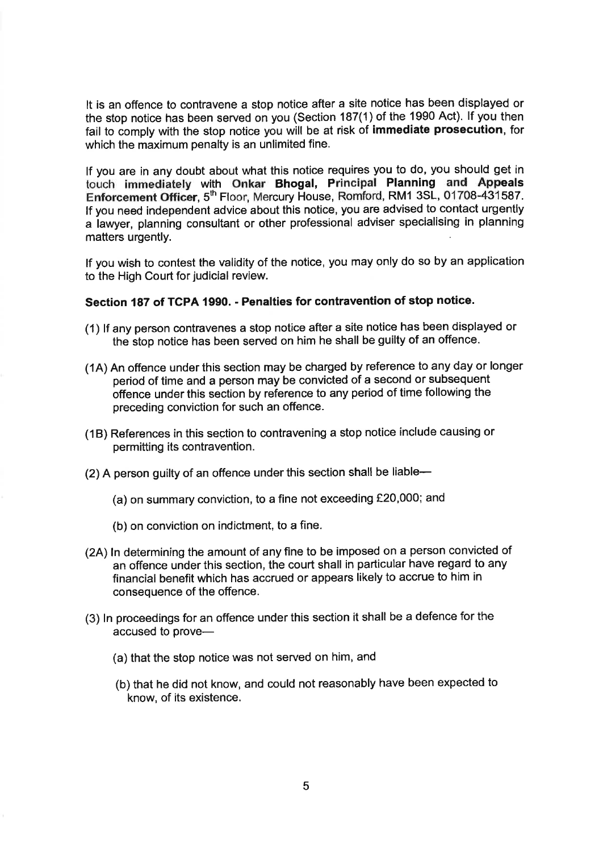It is an offence to contravene a stop notice after a site notice has been displayed or the stop notice has been served on you (Section 187(1) of the 1990 Act). If you then fail to comply with the stop notice you will be at risk of **immediate prosecution,** for which the maximum penalty is an unlimited fine.

If you are in any doubt about what this notice requires you to do, you should get in touch **immediately** with **Onkar Bhogal, Principal Planning and Appeals Enforcement Officer,** 5'h Floor, Mercury House, Romford, RMI **3SL,** 01708-431587. If you need independent advice about this notice, you are advised to contact urgently a lawyer, planning consultant or other professional adviser specialising in planning matters urgently.

If you wish to contest the validity of the notice, you may only do so by an application to the High Court for judicial review.

### **Section 187 of TCPA 1990.** - **Penalties for contravention of stop notice.**

- (1) If any person contravenes a stop notice after a site notice has been displayed or the stop notice has been served on him he shall be guilty of an offence.
- (IA) An offence under this section may be charged by reference to any day or longer period of time and a person may be convicted of a second or subsequent offence under this section by reference to any period of time following the preceding conviction for such an offence.
- (1B) References in this section to contravening a stop notice include causing or permitting its contravention.
- (2) **A** person guilty of an offence under this section shall be liable-
	- (a) on summary conviction, to a fine not exceeding £20,000; and
	- (b) on conviction on indictment, to a fine.
- (2A) In determining the amount of any fine to be imposed on a person convicted of an offence under this section, the court shall in particular have regard to any financial benefit which has accrued or appears likely to accrue to him in consequence of the offence.
- (3) In proceedings for an offence under this section it shall be a defence for the accused to prove-
	- (a) that the stop notice was not served on him, and
	- (b) that he did not know, and could not reasonably have been expected to know, of its existence.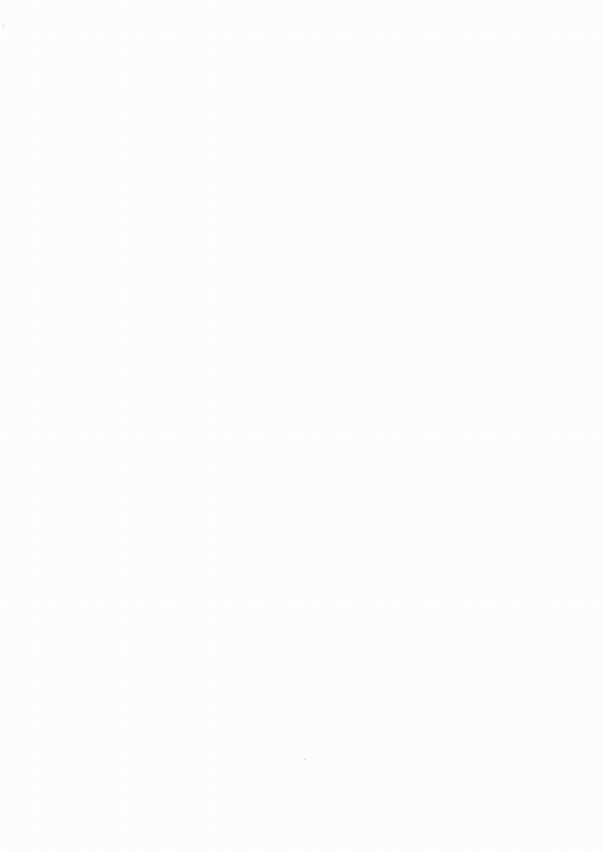ł.  $\mathcal{L}^{\text{max}}_{\text{max}}$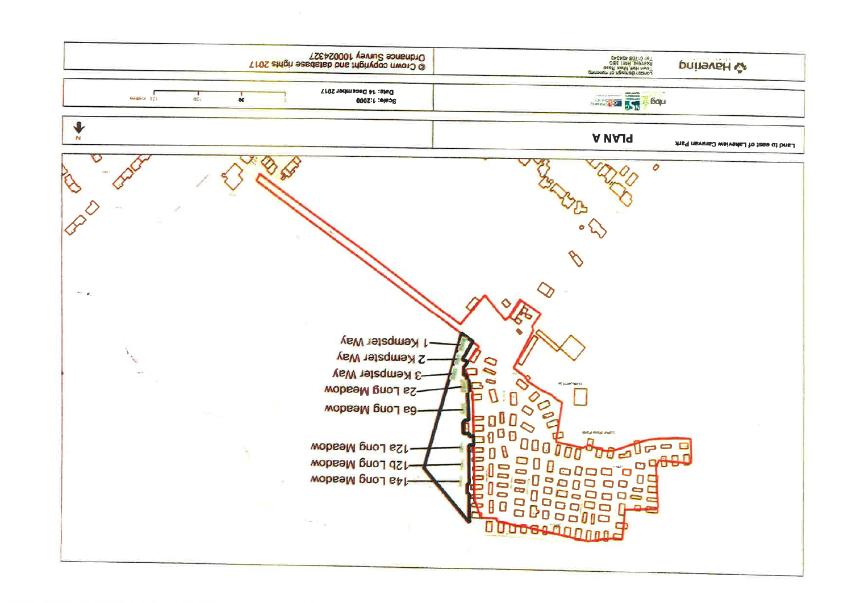